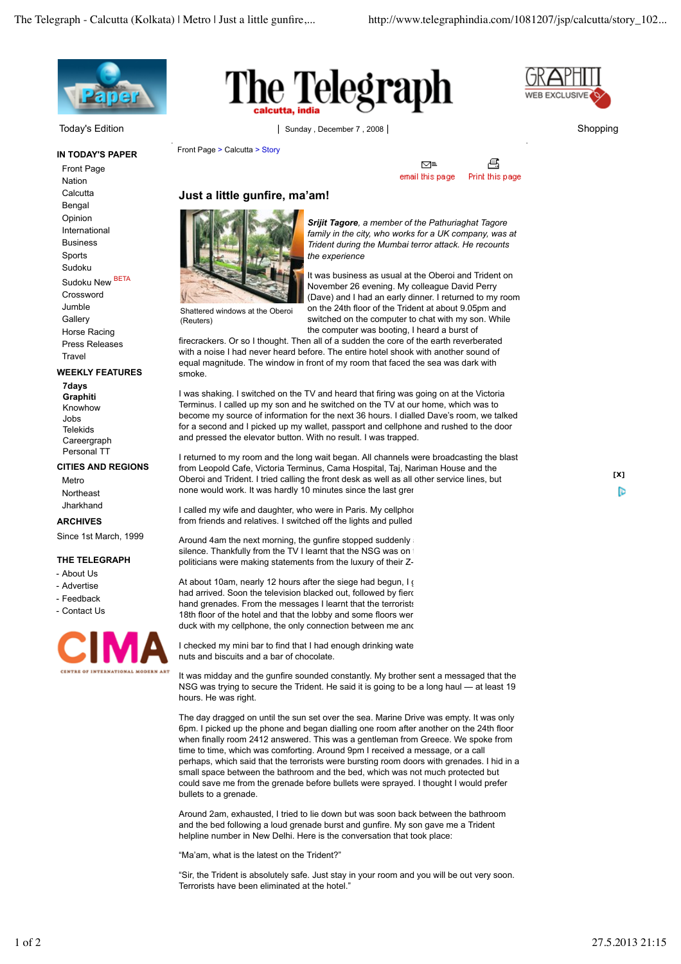

**IN TODAY'S PAPER** Front Page Nation **Calcutta** Bengal Opinion International Business Sports Sudoku Sudoku New BETA Crossword Jumble **Gallery** Horse Racing Press Releases

**Travel WEEKLY FEATURES**

**7days Graphiti** Knowhow Jobs Telekids Careergraph Personal TT

## **CITIES AND REGIONS**

Metro **Northeast** Jharkhand

**ARCHIVES**

## Since 1st March, 1999

## **THE TELEGRAPH**

- About Us
- Advertise
- Feedback
- Contact Us





Today's Edition 
Shopping 
Sunday , December 7 , 2008 | Sunday Shopping | Sunday , December 7 , 2008 | Shopping | Shopping

Front Page > Calcutta > Story



€ ⊠≡ email this page Print this page

## **Just a little gunfire, ma'am!**



Shattered windows at the Oberoi

(Reuters)

*Srijit Tagore, a member of the Pathuriaghat Tagore family in the city, who works for a UK company, was at Trident during the Mumbai terror attack. He recounts the experience*

It was business as usual at the Oberoi and Trident on November 26 evening. My colleague David Perry (Dave) and I had an early dinner. I returned to my room on the 24th floor of the Trident at about 9.05pm and switched on the computer to chat with my son. While the computer was booting, I heard a burst of

firecrackers. Or so I thought. Then all of a sudden the core of the earth reverberated with a noise I had never heard before. The entire hotel shook with another sound of equal magnitude. The window in front of my room that faced the sea was dark with smoke.

I was shaking. I switched on the TV and heard that firing was going on at the Victoria Terminus. I called up my son and he switched on the TV at our home, which was to become my source of information for the next 36 hours. I dialled Dave's room, we talked for a second and I picked up my wallet, passport and cellphone and rushed to the door and pressed the elevator button. With no result. I was trapped.

I returned to my room and the long wait began. All channels were broadcasting the blast from Leopold Cafe, Victoria Terminus, Cama Hospital, Taj, Nariman House and the Oberoi and Trident. I tried calling the front desk as well as all other service lines, but none would work. It was hardly 10 minutes since the last gren

I called my wife and daughter, who were in Paris. My cellphone from friends and relatives. I switched off the lights and pulled

Around 4am the next morning, the gunfire stopped suddenly silence. Thankfully from the TV I learnt that the NSG was on politicians were making statements from the luxury of their Z-

At about 10am, nearly 12 hours after the siege had begun, I  $($ had arrived. Soon the television blacked out, followed by fierd hand grenades. From the messages I learnt that the terrorists 18th floor of the hotel and that the lobby and some floors wer duck with my cellphone, the only connection between me and

I checked my mini bar to find that I had enough drinking wate nuts and biscuits and a bar of chocolate.

It was midday and the gunfire sounded constantly. My brother sent a messaged that the NSG was trying to secure the Trident. He said it is going to be a long haul — at least 19 hours. He was right.

The day dragged on until the sun set over the sea. Marine Drive was empty. It was only 6pm. I picked up the phone and began dialling one room after another on the 24th floor when finally room 2412 answered. This was a gentleman from Greece. We spoke from time to time, which was comforting. Around 9pm I received a message, or a call perhaps, which said that the terrorists were bursting room doors with grenades. I hid in a small space between the bathroom and the bed, which was not much protected but could save me from the grenade before bullets were sprayed. I thought I would prefer bullets to a grenade.

Around 2am, exhausted, I tried to lie down but was soon back between the bathroom and the bed following a loud grenade burst and gunfire. My son gave me a Trident helpline number in New Delhi. Here is the conversation that took place:

"Ma'am, what is the latest on the Trident?"

"Sir, the Trident is absolutely safe. Just stay in your room and you will be out very soon. Terrorists have been eliminated at the hotel."